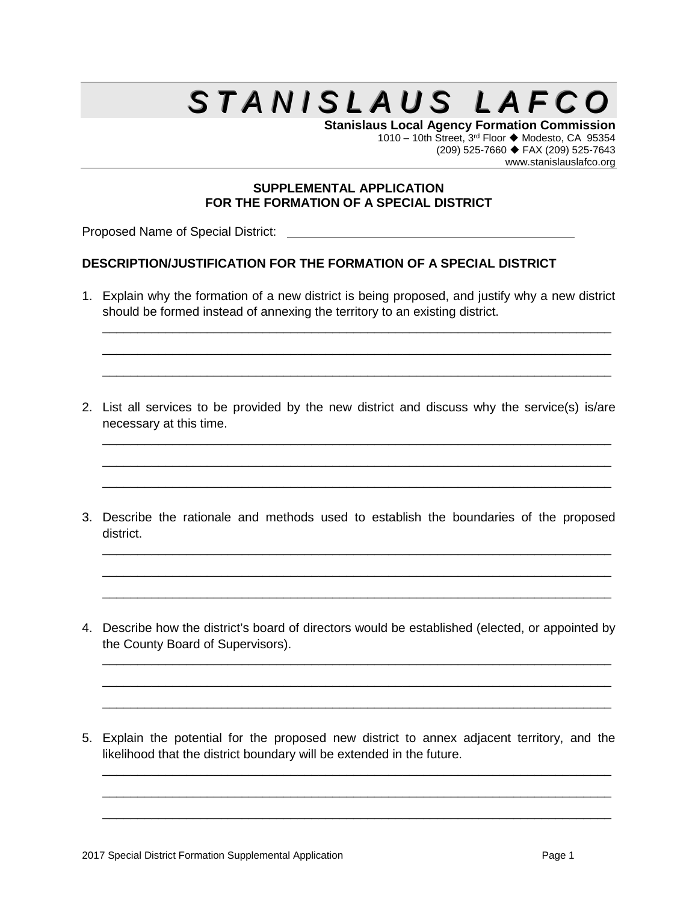## $S$  *TANISLAUS LAFCC*

**Stanislaus Local Agency Formation Commission** 1010 – 10th Street,  $3^{rd}$  Floor  $\blacklozenge$  Modesto, CA 95354 (209) 525-7660 FAX (209) 525-7643 www.stanislauslafco.org

## **SUPPLEMENTAL APPLICATION FOR THE FORMATION OF A SPECIAL DISTRICT**

Proposed Name of Special District: **container the container of Special District: Container the container of Special District: Container the container of Special District: Container the container of Special District:** 

## **DESCRIPTION/JUSTIFICATION FOR THE FORMATION OF A SPECIAL DISTRICT**

1. Explain why the formation of a new district is being proposed, and justify why a new district should be formed instead of annexing the territory to an existing district.

\_\_\_\_\_\_\_\_\_\_\_\_\_\_\_\_\_\_\_\_\_\_\_\_\_\_\_\_\_\_\_\_\_\_\_\_\_\_\_\_\_\_\_\_\_\_\_\_\_\_\_\_\_\_\_\_\_\_\_\_\_\_\_\_\_\_\_\_\_\_\_\_\_ \_\_\_\_\_\_\_\_\_\_\_\_\_\_\_\_\_\_\_\_\_\_\_\_\_\_\_\_\_\_\_\_\_\_\_\_\_\_\_\_\_\_\_\_\_\_\_\_\_\_\_\_\_\_\_\_\_\_\_\_\_\_\_\_\_\_\_\_\_\_\_\_\_ \_\_\_\_\_\_\_\_\_\_\_\_\_\_\_\_\_\_\_\_\_\_\_\_\_\_\_\_\_\_\_\_\_\_\_\_\_\_\_\_\_\_\_\_\_\_\_\_\_\_\_\_\_\_\_\_\_\_\_\_\_\_\_\_\_\_\_\_\_\_\_\_\_

2. List all services to be provided by the new district and discuss why the service(s) is/are necessary at this time.

\_\_\_\_\_\_\_\_\_\_\_\_\_\_\_\_\_\_\_\_\_\_\_\_\_\_\_\_\_\_\_\_\_\_\_\_\_\_\_\_\_\_\_\_\_\_\_\_\_\_\_\_\_\_\_\_\_\_\_\_\_\_\_\_\_\_\_\_\_\_\_\_\_ \_\_\_\_\_\_\_\_\_\_\_\_\_\_\_\_\_\_\_\_\_\_\_\_\_\_\_\_\_\_\_\_\_\_\_\_\_\_\_\_\_\_\_\_\_\_\_\_\_\_\_\_\_\_\_\_\_\_\_\_\_\_\_\_\_\_\_\_\_\_\_\_\_ \_\_\_\_\_\_\_\_\_\_\_\_\_\_\_\_\_\_\_\_\_\_\_\_\_\_\_\_\_\_\_\_\_\_\_\_\_\_\_\_\_\_\_\_\_\_\_\_\_\_\_\_\_\_\_\_\_\_\_\_\_\_\_\_\_\_\_\_\_\_\_\_\_

3. Describe the rationale and methods used to establish the boundaries of the proposed district.

\_\_\_\_\_\_\_\_\_\_\_\_\_\_\_\_\_\_\_\_\_\_\_\_\_\_\_\_\_\_\_\_\_\_\_\_\_\_\_\_\_\_\_\_\_\_\_\_\_\_\_\_\_\_\_\_\_\_\_\_\_\_\_\_\_\_\_\_\_\_\_\_\_ \_\_\_\_\_\_\_\_\_\_\_\_\_\_\_\_\_\_\_\_\_\_\_\_\_\_\_\_\_\_\_\_\_\_\_\_\_\_\_\_\_\_\_\_\_\_\_\_\_\_\_\_\_\_\_\_\_\_\_\_\_\_\_\_\_\_\_\_\_\_\_\_\_ \_\_\_\_\_\_\_\_\_\_\_\_\_\_\_\_\_\_\_\_\_\_\_\_\_\_\_\_\_\_\_\_\_\_\_\_\_\_\_\_\_\_\_\_\_\_\_\_\_\_\_\_\_\_\_\_\_\_\_\_\_\_\_\_\_\_\_\_\_\_\_\_\_

4. Describe how the district's board of directors would be established (elected, or appointed by the County Board of Supervisors).

\_\_\_\_\_\_\_\_\_\_\_\_\_\_\_\_\_\_\_\_\_\_\_\_\_\_\_\_\_\_\_\_\_\_\_\_\_\_\_\_\_\_\_\_\_\_\_\_\_\_\_\_\_\_\_\_\_\_\_\_\_\_\_\_\_\_\_\_\_\_\_\_\_ \_\_\_\_\_\_\_\_\_\_\_\_\_\_\_\_\_\_\_\_\_\_\_\_\_\_\_\_\_\_\_\_\_\_\_\_\_\_\_\_\_\_\_\_\_\_\_\_\_\_\_\_\_\_\_\_\_\_\_\_\_\_\_\_\_\_\_\_\_\_\_\_\_ \_\_\_\_\_\_\_\_\_\_\_\_\_\_\_\_\_\_\_\_\_\_\_\_\_\_\_\_\_\_\_\_\_\_\_\_\_\_\_\_\_\_\_\_\_\_\_\_\_\_\_\_\_\_\_\_\_\_\_\_\_\_\_\_\_\_\_\_\_\_\_\_\_

5. Explain the potential for the proposed new district to annex adjacent territory, and the likelihood that the district boundary will be extended in the future.

\_\_\_\_\_\_\_\_\_\_\_\_\_\_\_\_\_\_\_\_\_\_\_\_\_\_\_\_\_\_\_\_\_\_\_\_\_\_\_\_\_\_\_\_\_\_\_\_\_\_\_\_\_\_\_\_\_\_\_\_\_\_\_\_\_\_\_\_\_\_\_\_\_ \_\_\_\_\_\_\_\_\_\_\_\_\_\_\_\_\_\_\_\_\_\_\_\_\_\_\_\_\_\_\_\_\_\_\_\_\_\_\_\_\_\_\_\_\_\_\_\_\_\_\_\_\_\_\_\_\_\_\_\_\_\_\_\_\_\_\_\_\_\_\_\_\_ \_\_\_\_\_\_\_\_\_\_\_\_\_\_\_\_\_\_\_\_\_\_\_\_\_\_\_\_\_\_\_\_\_\_\_\_\_\_\_\_\_\_\_\_\_\_\_\_\_\_\_\_\_\_\_\_\_\_\_\_\_\_\_\_\_\_\_\_\_\_\_\_\_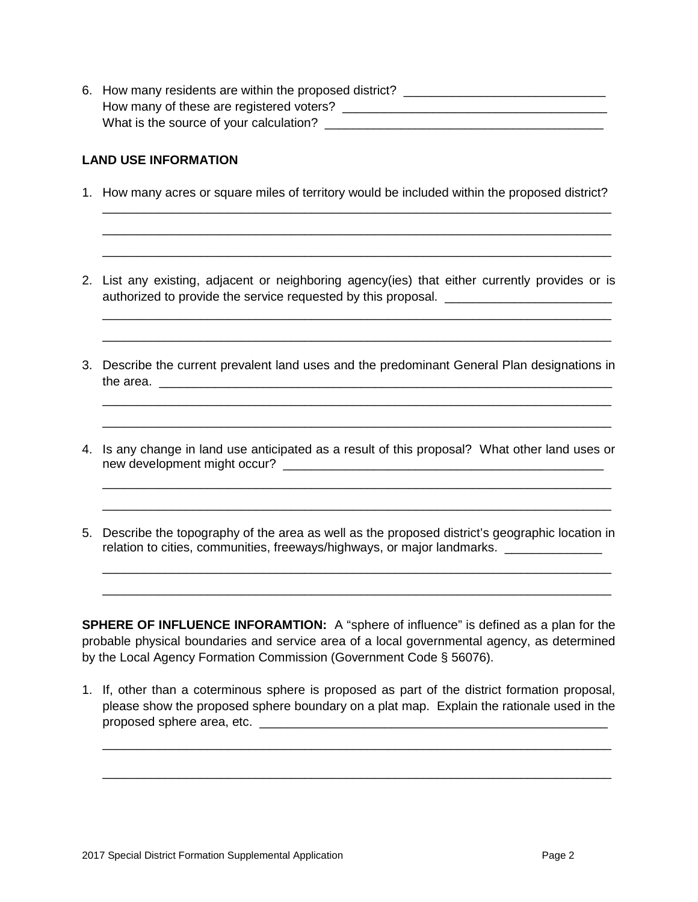6. How many residents are within the proposed district? How many of these are registered voters? \_\_\_\_\_\_\_\_\_\_\_\_\_\_\_\_\_\_\_\_\_\_\_\_\_\_\_\_\_\_\_\_\_\_\_\_\_\_ What is the source of your calculation? \_\_\_\_\_\_\_\_\_\_\_\_\_\_\_\_\_\_\_\_\_\_\_\_\_\_\_\_\_\_\_\_\_\_\_\_\_\_\_\_

## **LAND USE INFORMATION**

1. How many acres or square miles of territory would be included within the proposed district?

\_\_\_\_\_\_\_\_\_\_\_\_\_\_\_\_\_\_\_\_\_\_\_\_\_\_\_\_\_\_\_\_\_\_\_\_\_\_\_\_\_\_\_\_\_\_\_\_\_\_\_\_\_\_\_\_\_\_\_\_\_\_\_\_\_\_\_\_\_\_\_\_\_ \_\_\_\_\_\_\_\_\_\_\_\_\_\_\_\_\_\_\_\_\_\_\_\_\_\_\_\_\_\_\_\_\_\_\_\_\_\_\_\_\_\_\_\_\_\_\_\_\_\_\_\_\_\_\_\_\_\_\_\_\_\_\_\_\_\_\_\_\_\_\_\_\_ \_\_\_\_\_\_\_\_\_\_\_\_\_\_\_\_\_\_\_\_\_\_\_\_\_\_\_\_\_\_\_\_\_\_\_\_\_\_\_\_\_\_\_\_\_\_\_\_\_\_\_\_\_\_\_\_\_\_\_\_\_\_\_\_\_\_\_\_\_\_\_\_\_

2. List any existing, adjacent or neighboring agency(ies) that either currently provides or is authorized to provide the service requested by this proposal.

\_\_\_\_\_\_\_\_\_\_\_\_\_\_\_\_\_\_\_\_\_\_\_\_\_\_\_\_\_\_\_\_\_\_\_\_\_\_\_\_\_\_\_\_\_\_\_\_\_\_\_\_\_\_\_\_\_\_\_\_\_\_\_\_\_\_\_\_\_\_\_\_\_ \_\_\_\_\_\_\_\_\_\_\_\_\_\_\_\_\_\_\_\_\_\_\_\_\_\_\_\_\_\_\_\_\_\_\_\_\_\_\_\_\_\_\_\_\_\_\_\_\_\_\_\_\_\_\_\_\_\_\_\_\_\_\_\_\_\_\_\_\_\_\_\_\_

3. Describe the current prevalent land uses and the predominant General Plan designations in the area.

\_\_\_\_\_\_\_\_\_\_\_\_\_\_\_\_\_\_\_\_\_\_\_\_\_\_\_\_\_\_\_\_\_\_\_\_\_\_\_\_\_\_\_\_\_\_\_\_\_\_\_\_\_\_\_\_\_\_\_\_\_\_\_\_\_\_\_\_\_\_\_\_\_ \_\_\_\_\_\_\_\_\_\_\_\_\_\_\_\_\_\_\_\_\_\_\_\_\_\_\_\_\_\_\_\_\_\_\_\_\_\_\_\_\_\_\_\_\_\_\_\_\_\_\_\_\_\_\_\_\_\_\_\_\_\_\_\_\_\_\_\_\_\_\_\_\_

4. Is any change in land use anticipated as a result of this proposal? What other land uses or new development might occur? \_\_\_\_\_\_\_\_\_\_\_\_\_\_\_\_\_\_\_\_\_\_\_\_\_\_\_\_\_\_\_\_\_\_\_\_\_\_\_\_\_\_\_\_\_\_

\_\_\_\_\_\_\_\_\_\_\_\_\_\_\_\_\_\_\_\_\_\_\_\_\_\_\_\_\_\_\_\_\_\_\_\_\_\_\_\_\_\_\_\_\_\_\_\_\_\_\_\_\_\_\_\_\_\_\_\_\_\_\_\_\_\_\_\_\_\_\_\_\_ \_\_\_\_\_\_\_\_\_\_\_\_\_\_\_\_\_\_\_\_\_\_\_\_\_\_\_\_\_\_\_\_\_\_\_\_\_\_\_\_\_\_\_\_\_\_\_\_\_\_\_\_\_\_\_\_\_\_\_\_\_\_\_\_\_\_\_\_\_\_\_\_\_

5. Describe the topography of the area as well as the proposed district's geographic location in relation to cities, communities, freeways/highways, or major landmarks. \_\_\_\_\_\_\_\_\_\_

\_\_\_\_\_\_\_\_\_\_\_\_\_\_\_\_\_\_\_\_\_\_\_\_\_\_\_\_\_\_\_\_\_\_\_\_\_\_\_\_\_\_\_\_\_\_\_\_\_\_\_\_\_\_\_\_\_\_\_\_\_\_\_\_\_\_\_\_\_\_\_\_\_ \_\_\_\_\_\_\_\_\_\_\_\_\_\_\_\_\_\_\_\_\_\_\_\_\_\_\_\_\_\_\_\_\_\_\_\_\_\_\_\_\_\_\_\_\_\_\_\_\_\_\_\_\_\_\_\_\_\_\_\_\_\_\_\_\_\_\_\_\_\_\_\_\_

**SPHERE OF INFLUENCE INFORAMTION:** A "sphere of influence" is defined as a plan for the probable physical boundaries and service area of a local governmental agency, as determined by the Local Agency Formation Commission (Government Code § 56076).

1. If, other than a coterminous sphere is proposed as part of the district formation proposal, please show the proposed sphere boundary on a plat map. Explain the rationale used in the proposed sphere area, etc. \_\_\_\_\_\_\_\_\_\_\_\_\_\_\_\_\_\_\_\_\_\_\_\_\_\_\_\_\_\_\_\_\_\_\_\_\_\_\_\_\_\_\_\_\_\_\_\_\_\_

\_\_\_\_\_\_\_\_\_\_\_\_\_\_\_\_\_\_\_\_\_\_\_\_\_\_\_\_\_\_\_\_\_\_\_\_\_\_\_\_\_\_\_\_\_\_\_\_\_\_\_\_\_\_\_\_\_\_\_\_\_\_\_\_\_\_\_\_\_\_\_\_\_

\_\_\_\_\_\_\_\_\_\_\_\_\_\_\_\_\_\_\_\_\_\_\_\_\_\_\_\_\_\_\_\_\_\_\_\_\_\_\_\_\_\_\_\_\_\_\_\_\_\_\_\_\_\_\_\_\_\_\_\_\_\_\_\_\_\_\_\_\_\_\_\_\_